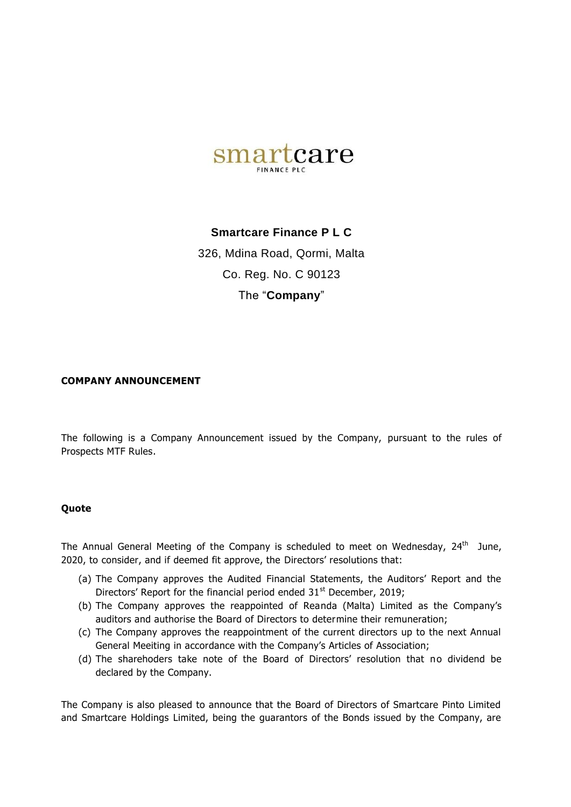

## **Smartcare Finance P L C**

326, Mdina Road, Qormi, Malta Co. Reg. No. C 90123 The "**Company**"

## **COMPANY ANNOUNCEMENT**

The following is a Company Announcement issued by the Company, pursuant to the rules of Prospects MTF Rules.

## **Quote**

The Annual General Meeting of the Company is scheduled to meet on Wednesday,  $24<sup>th</sup>$  June, 2020, to consider, and if deemed fit approve, the Directors' resolutions that:

- (a) The Company approves the Audited Financial Statements, the Auditors' Report and the Directors' Report for the financial period ended  $31<sup>st</sup>$  December, 2019;
- (b) The Company approves the reappointed of Reanda (Malta) Limited as the Company's auditors and authorise the Board of Directors to determine their remuneration;
- (c) The Company approves the reappointment of the current directors up to the next Annual General Meeiting in accordance with the Company's Articles of Association;
- (d) The sharehoders take note of the Board of Directors' resolution that no dividend be declared by the Company.

The Company is also pleased to announce that the Board of Directors of Smartcare Pinto Limited and Smartcare Holdings Limited, being the guarantors of the Bonds issued by the Company, are